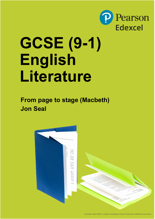

# **GCSE (9-1) English Literature**

**From page to stage (Macbeth) Jon Seal**

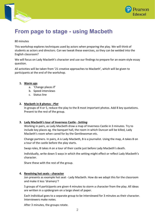



# **From page to stage - using Macbeth**

# 80 minutes

This workshop explores techniques used by actors when preparing the play. We will think of students as actors and directors. Can we tweak these exercises, so they can be welded into the English classroom?

We will focus on Lady Macbeth's character and use our findings to prepare for an exam-style essay question.

All activities will be taken from '21 creative approaches to Macbeth', which will be given to participants at the end of the workshop.

# **1. Warm ups**

- a. 'Change places if'
- b. Speed interviews
- c. Status line

# **2. Macbeth in 8 photos -** *Plot*

In groups of 4 or 5, reduce the play to the 8 most important photos. Add 8 key quotations. Present to the rest of the group.

#### **3. Lady Macbeth's tour of Inverness Castle -** *Setting*

Working in pairs, as Lady Macbeth draw a map of Inverness Castle in 3 minutes. Try to include key places eg. the banquet hall, the room in which Duncan will be killed, Lady Macbeth's room when cared for by the Gentlewoman etc.

Change partners. In pairs, A is Lady Macbeth, B is a journalist. Using the map, A takes B on a tour of the castle before the play starts.

Swap roles, B takes A on a tour of their castle just before Lady Macbeth's death.

Individually, write down 5 ways in which the setting might effect or reflect Lady Macbeth's character.

Share these with the rest of the group.

#### **4. Revolving hot seats - character**

Jon presents as example hot seat - Lady Macbeth. How do we adapt this for the classroom and make it less 'dramery'?

5 groups of 4 participants are given 4 minutes to storm a character from the play. All ideas are written in a spidergram on a large sheet of paper.

Each individual goes to a separate group to be interviewed for 3 minutes as their character. Interviewers make notes.

After 3 minutes, the groups rotate.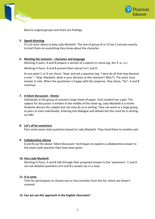



Back to original groups and share our findings.

# **5. Speed directing**

A is an actor about to play Lady Macbeth. The rest of group (4 or 5) has 2 minutes exactly to brief them on everything they know about the character.

# **6. Marking the moment – character and language**

Working in pairs, A and B prepare a section of a speech or scene (eg. Act 3, sc. iv.)

Working in fours. A and B present their extract to C and D.

At any point C or D can shout, 'Stop' and ask a question (eg. 'I dare do all that may become a man' – 'Stop. Macbeth, what is your decision at this moment? Why?'). The actor must answer in role. When the questioner is happy with the response, they shout, "Go". A and B continue.

# **7. A Silent discussion - theme**

Individuals in the group sit around a large sheet of paper. Each student has a pen. The subject for discussion is written in the middle of the sheet eg. *Lady Macbeth is a victim*. Students discuss this subject but can only do so in writing. They can work as a large group, as pairs or even individually, entering into dialogue and debate but this must be in writing no talk!

#### **8. Let's all be examiners**

Pairs write exam-style questions based on Lady Macbeth. They hand these to another pair.

#### **9. Collaborative silence**

A and B use the above 'Silent discussion' techniques to explore a collaborative answer to the exam-style question they have been given.

#### **10. Viva Lady Macbeth**

Working in fours, A and B talk through their proposed answer to the 'examiners'. C and D can ask detailed questions of A and B's answer (as in a viva).

#### **11. A la carte.**

Time for participants to choose one or two activities from the list, which we haven't covered.

#### **12. Can we use this approach in the English classroom?**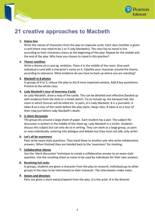



# **21 creative approaches to Macbeth**

# **1. Status line**

Write the names of characters from the play on separate cards. Each class member is given a card (there may need to be 2 or 3 Lady Macbeths). The class has to stand in line according to their characters status at the beginning of the play. Repeat for the middle and the end of the play. Why have you chosen to stand in this position?

# **2. Theme satellites**

Write a theme on a card eg. ambition. Place it in the middle of the room. Give each individual a card with a character's name on it. Satellite your character around the theme, according to relevance. What evidence do you have to back up where you are standing?

# **3. Macbeth in 8 photos**

In groups of 4 or 5, reduce the play to the 8 most important photos. Add 8 key quotations. Present to the whole class.

# **4. Lady Macbeth's tour of Inverness Castle**

As Lady Macbeth, draw a map of the castle. This can be detailed and reflective (backed up with evidence from the text) or a timed sketch. Try to include eg. the banquet hall, the room in which Duncan will be killed etc. In pairs, A is Lady Macbeth, B is a journalist. A takes B on a tour of the castle before the play starts. Swap roles, B takes A on a tour of their map just before Lady Macbeth's death.

# **5. A silent discussion**

The group sits around a large sheet of paper. Each student has a pen. The subject for discussion is written in the middle of the sheet eg. Lady Macbeth is a victim. Students discuss this subject but can only do so in writing. They can work as a large group, as pairs or even individually, entering into dialogue and debate but they must not talk, only write!

# **6. Let's all be examiners**

Pairs write exam-style questions. They hand these to another pair who write collaborative answers. When finished they are handed back to the 'examiners' for marking.

#### **7. Collaborative silence**

Use the 'silent discussion' technique to create a collaborative answer to an exam-style question. Use the resulting sheet as notes to be used by individuals for their own answers.

#### **8. Revolving hot seats**

In groups, students are given a character from the play to research, individuals go to other groups in the class to be interviewed as their character. The interviewers make notes.

#### **9. Actors and directors**

Pairs are given a short extract/speech from the play. A is the actor, B is the director.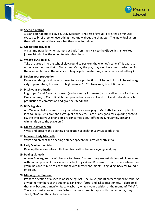



# **10. Speed directing**

A is an actor about to play eg. Lady Macbeth. The rest of group (4 or 5) has 2 minutes exactly to brief them on everything they know about the character. The individual actors then tell the rest of the class what they have found out.

#### **11. Globe time traveller**

A is a time traveller who has just got back from their visit to the Globe. B is an excited journalist who has the scoop to interview them.

# **12. What's outside like?**

Take the group into the school playground to perform the witches' scene. (This exercise not only reminds us that in Shakespeare's day the play may well have been performed in the open air but also the reliance of language to create tone, atmosphere and setting.)

#### **13. Design your production**

Draw a set design and two costumes for your production of Macbeth. It could be set in eg. a dystopian future, the world of high finance, 1970's New York, Brexit Britain etc.

# **14. Pitch your production**

In groups, A and B are hard-nosed (and not easily impressed) artistic directors of a theatre. One at a time, B, C and D pitch their production ideas to A and B. A and B decide which production to commission and give their feedback.

# **15. Bill's big idea**

A is William Shakespeare with a great idea for a new play – Macbeth. He has to pitch his idea to Philip Henslowe and a group of financiers. (Particularly good for exploring context eg. the ever-nervous financiers are concerned about offending King James, bringing witchcraft on to the stage etc.)

#### **16. Guilty Lady Macbeth**

Write and present the opening prosecution speech for Lady Macbeth's trial.

# **17. Innocent Lady Macbeth**

Write and present the opening defence speech for Lady Macbeth's trial.

#### **18. Lady Macbeth on trial**

Develop the above into a full-blown trial with witnesses, a judge and jury.

#### **19. Boxing dialectic**

A faces B. A argues the witches are to blame. B argues they are just victimised old women with no real power. After 2 minutes a bell rings, A and B return to their corners where their group has one minute to coach them with further arguments. Ding–ding, back for round 2 on so on.

#### **20. Marking the moment**

Prepare a section of a speech or scene eg. Act 3, sc. iv. A (and B) present speech/scene. At any point members of the audience can shout, 'Stop' and ask a question (eg. 'I dare do all that may become a man' – 'Stop. Macbeth, what is your decision at the moment? Why?'). The actor must answer in role. When the questioner is happy with the response, they shout, "Go" and the actors continue.